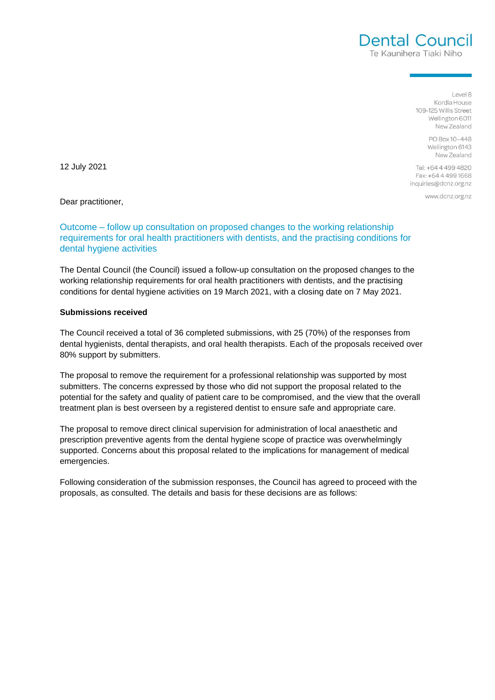$R |q|$ Kordia House 109-125 Willis Street Wellington 6011 New Zealand

Dental Council Te Kaunihera Tiaki Niho

> PO Boy 10-448 Wellington 6143 New Zealand

Tel: +64 4 499 4820 Fax: +64 4 499 1668 inquiries@dcnz.org.nz

www.dcnz.org.nz

12 July 2021

Dear practitioner,

# Outcome – follow up consultation on proposed changes to the working relationship requirements for oral health practitioners with dentists, and the practising conditions for dental hygiene activities

The Dental Council (the Council) issued a follow-up consultation on the proposed changes to the working relationship requirements for oral health practitioners with dentists, and the practising conditions for dental hygiene activities on 19 March 2021, with a closing date on 7 May 2021.

#### **Submissions received**

The Council received a total of 36 completed submissions, with 25 (70%) of the responses from dental hygienists, dental therapists, and oral health therapists. Each of the proposals received over 80% support by submitters.

The proposal to remove the requirement for a professional relationship was supported by most submitters. The concerns expressed by those who did not support the proposal related to the potential for the safety and quality of patient care to be compromised, and the view that the overall treatment plan is best overseen by a registered dentist to ensure safe and appropriate care.

The proposal to remove direct clinical supervision for administration of local anaesthetic and prescription preventive agents from the dental hygiene scope of practice was overwhelmingly supported. Concerns about this proposal related to the implications for management of medical emergencies.

Following consideration of the submission responses, the Council has agreed to proceed with the proposals, as consulted. The details and basis for these decisions are as follows: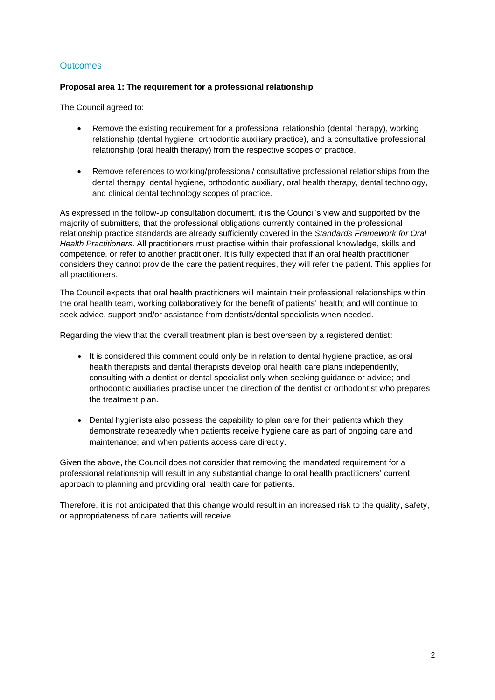# **Outcomes**

# **Proposal area 1: The requirement for a professional relationship**

The Council agreed to:

- Remove the existing requirement for a professional relationship (dental therapy), working relationship (dental hygiene, orthodontic auxiliary practice), and a consultative professional relationship (oral health therapy) from the respective scopes of practice.
- Remove references to working/professional/ consultative professional relationships from the dental therapy, dental hygiene, orthodontic auxiliary, oral health therapy, dental technology, and clinical dental technology scopes of practice.

As expressed in the follow-up consultation document, it is the Council's view and supported by the majority of submitters, that the professional obligations currently contained in the professional relationship practice standards are already sufficiently covered in the *Standards Framework for Oral Health Practitioners*. All practitioners must practise within their professional knowledge, skills and competence, or refer to another practitioner. It is fully expected that if an oral health practitioner considers they cannot provide the care the patient requires, they will refer the patient. This applies for all practitioners.

The Council expects that oral health practitioners will maintain their professional relationships within the oral health team, working collaboratively for the benefit of patients' health; and will continue to seek advice, support and/or assistance from dentists/dental specialists when needed.

Regarding the view that the overall treatment plan is best overseen by a registered dentist:

- It is considered this comment could only be in relation to dental hygiene practice, as oral health therapists and dental therapists develop oral health care plans independently, consulting with a dentist or dental specialist only when seeking guidance or advice; and orthodontic auxiliaries practise under the direction of the dentist or orthodontist who prepares the treatment plan.
- Dental hygienists also possess the capability to plan care for their patients which they demonstrate repeatedly when patients receive hygiene care as part of ongoing care and maintenance; and when patients access care directly.

Given the above, the Council does not consider that removing the mandated requirement for a professional relationship will result in any substantial change to oral health practitioners' current approach to planning and providing oral health care for patients.

Therefore, it is not anticipated that this change would result in an increased risk to the quality, safety, or appropriateness of care patients will receive.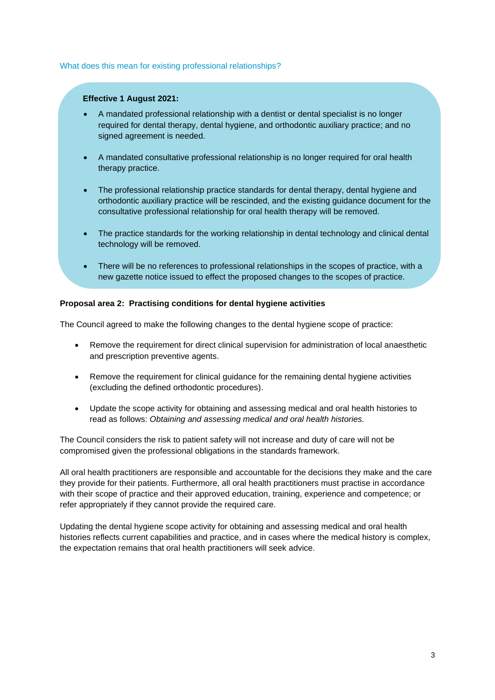#### What does this mean for existing professional relationships?

## **Effective 1 August 2021:**

- A mandated professional relationship with a dentist or dental specialist is no longer required for dental therapy, dental hygiene, and orthodontic auxiliary practice; and no signed agreement is needed.
- A mandated consultative professional relationship is no longer required for oral health therapy practice.
- The professional relationship practice standards for dental therapy, dental hygiene and orthodontic auxiliary practice will be rescinded, and the existing guidance document for the consultative professional relationship for oral health therapy will be removed.
- The practice standards for the working relationship in dental technology and clinical dental technology will be removed.
- There will be no references to professional relationships in the scopes of practice, with a new gazette notice issued to effect the proposed changes to the scopes of practice.

## **Proposal area 2: Practising conditions for dental hygiene activities**

The Council agreed to make the following changes to the dental hygiene scope of practice:

- Remove the requirement for direct clinical supervision for administration of local anaesthetic and prescription preventive agents.
- Remove the requirement for clinical guidance for the remaining dental hygiene activities (excluding the defined orthodontic procedures).
- Update the scope activity for obtaining and assessing medical and oral health histories to read as follows: *Obtaining and assessing medical and oral health histories.*

The Council considers the risk to patient safety will not increase and duty of care will not be compromised given the professional obligations in the standards framework.

All oral health practitioners are responsible and accountable for the decisions they make and the care they provide for their patients. Furthermore, all oral health practitioners must practise in accordance with their scope of practice and their approved education, training, experience and competence; or refer appropriately if they cannot provide the required care.

Updating the dental hygiene scope activity for obtaining and assessing medical and oral health histories reflects current capabilities and practice, and in cases where the medical history is complex, the expectation remains that oral health practitioners will seek advice.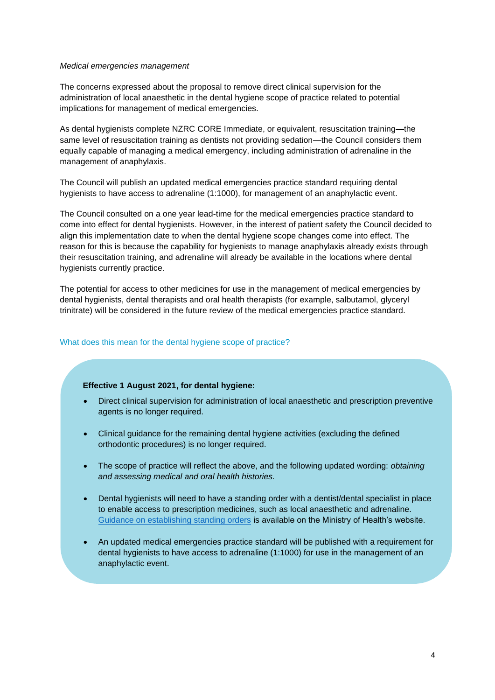#### *Medical emergencies management*

The concerns expressed about the proposal to remove direct clinical supervision for the administration of local anaesthetic in the dental hygiene scope of practice related to potential implications for management of medical emergencies.

As dental hygienists complete NZRC CORE Immediate, or equivalent, resuscitation training—the same level of resuscitation training as dentists not providing sedation—the Council considers them equally capable of managing a medical emergency, including administration of adrenaline in the management of anaphylaxis.

The Council will publish an updated medical emergencies practice standard requiring dental hygienists to have access to adrenaline (1:1000), for management of an anaphylactic event.

The Council consulted on a one year lead-time for the medical emergencies practice standard to come into effect for dental hygienists. However, in the interest of patient safety the Council decided to align this implementation date to when the dental hygiene scope changes come into effect. The reason for this is because the capability for hygienists to manage anaphylaxis already exists through their resuscitation training, and adrenaline will already be available in the locations where dental hygienists currently practice.

The potential for access to other medicines for use in the management of medical emergencies by dental hygienists, dental therapists and oral health therapists (for example, salbutamol, glyceryl trinitrate) will be considered in the future review of the medical emergencies practice standard.

## What does this mean for the dental hygiene scope of practice?

#### **Effective 1 August 2021, for dental hygiene:**

- Direct clinical supervision for administration of local anaesthetic and prescription preventive agents is no longer required.
- Clinical guidance for the remaining dental hygiene activities (excluding the defined orthodontic procedures) is no longer required.
- The scope of practice will reflect the above, and the following updated wording: *obtaining and assessing medical and oral health histories.*
- Dental hygienists will need to have a standing order with a dentist/dental specialist in place to enable access to prescription medicines, such as local anaesthetic and adrenaline. [Guidance on establishing standing orders](https://www.health.govt.nz/system/files/documents/publications/standing-order-guidelines-aug16-v2.pdf) is available on the Ministry of Health's website.
- An updated medical emergencies practice standard will be published with a requirement for dental hygienists to have access to adrenaline (1:1000) for use in the management of an anaphylactic event.